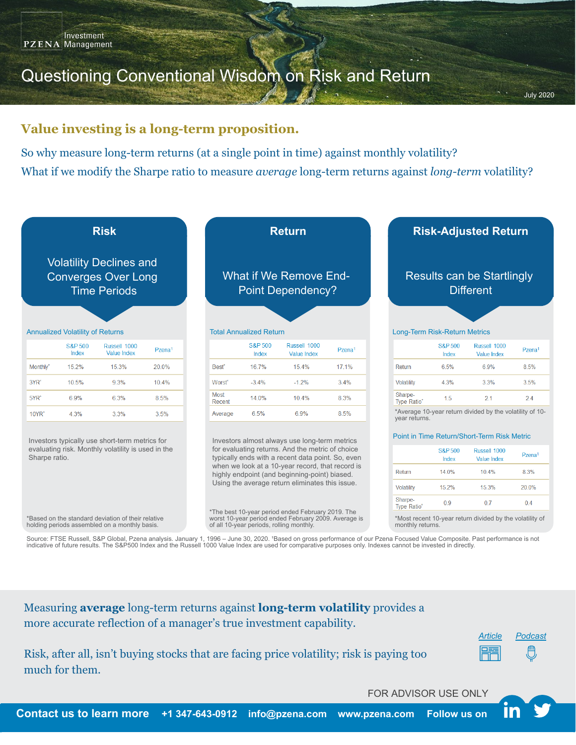# Questioning Conventional Wisdom on Risk and Return

### **Value investing is a long-term proposition.**

So why measure long-term returns (at a single point in time) against monthly volatility? What if we modify the Sharpe ratio to measure *average* long-term returns against *long-term* volatility?



Source: FTSE Russell, S&P Global, Pzena analysis. January 1, 1996 – June 30, 2020. 'Based on gross performance of our Pzena Focused Value Composite. Past performance is not indicative of future results. The S&P500 Index and the Russell 1000 Value Index are used for comparative purposes only. Indexes cannot be invested in directly.

Measuring **average** long-term returns against **long-term volatility** provides a more accurate reflection of a manager's true investment capability.



Risk, after all, isn't buying stocks that are facing price volatility; risk is paying too much for them.

FOR ADVISOR USE ONLY